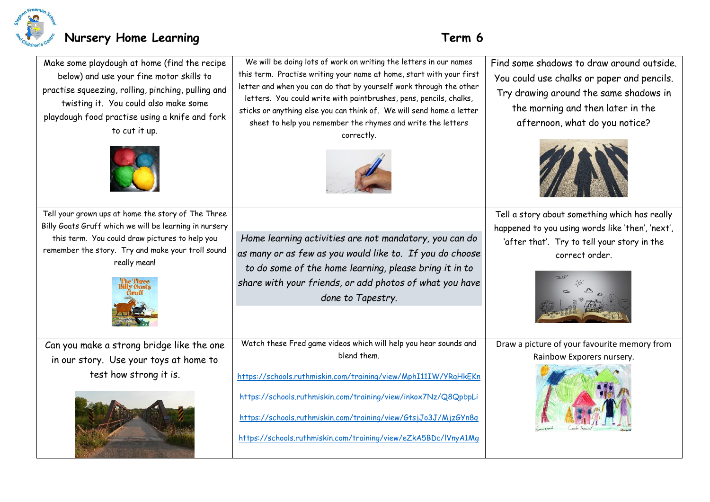

| Make some playdough at home (find the recipe<br>below) and use your fine motor skills to<br>practise squeezing, rolling, pinching, pulling and<br>twisting it. You could also make some<br>playdough food practise using a knife and fork<br>to cut it up. | We will be doing lots of work on writing the letters in our names<br>this term. Practise writing your name at home, start with your first<br>letter and when you can do that by yourself work through the other<br>letters. You could write with paintbrushes, pens, pencils, chalks,<br>sticks or anything else you can think of. We will send home a letter<br>sheet to help you remember the rhymes and write the letters<br>correctly. | Find some shadows to draw around outside.<br>You could use chalks or paper and pencils.<br>Try drawing around the same shadows in<br>the morning and then later in the<br>afternoon, what do you notice? |
|------------------------------------------------------------------------------------------------------------------------------------------------------------------------------------------------------------------------------------------------------------|--------------------------------------------------------------------------------------------------------------------------------------------------------------------------------------------------------------------------------------------------------------------------------------------------------------------------------------------------------------------------------------------------------------------------------------------|----------------------------------------------------------------------------------------------------------------------------------------------------------------------------------------------------------|
| Tell your grown ups at home the story of The Three<br>Billy Goats Gruff which we will be learning in nursery<br>this term. You could draw pictures to help you<br>remember the story. Try and make your troll sound<br>really mean!                        | Home learning activities are not mandatory, you can do<br>as many or as few as you would like to. If you do choose<br>to do some of the home learning, please bring it in to<br>share with your friends, or add photos of what you have<br>done to Tapestry.                                                                                                                                                                               | Tell a story about something which has really<br>happened to you using words like 'then', 'next',<br>'after that'. Try to tell your story in the<br>correct order.                                       |
| Can you make a strong bridge like the one<br>in our story. Use your toys at home to<br>test how strong it is.                                                                                                                                              | Watch these Fred game videos which will help you hear sounds and<br>blend them.<br>https://schools.ruthmiskin.com/training/view/MphI11IW/YRgHkEKn<br>https://schools.ruthmiskin.com/training/view/inkox7Nz/Q8QpbpLi<br>https://schools.ruthmiskin.com/training/view/GtsjJo3J/MjzGYn8q<br>https://schools.ruthmiskin.com/training/view/eZkA5BDc/lVnyA1Mq                                                                                    | Draw a picture of your favourite memory from<br>Rainbow Exporers nursery.                                                                                                                                |